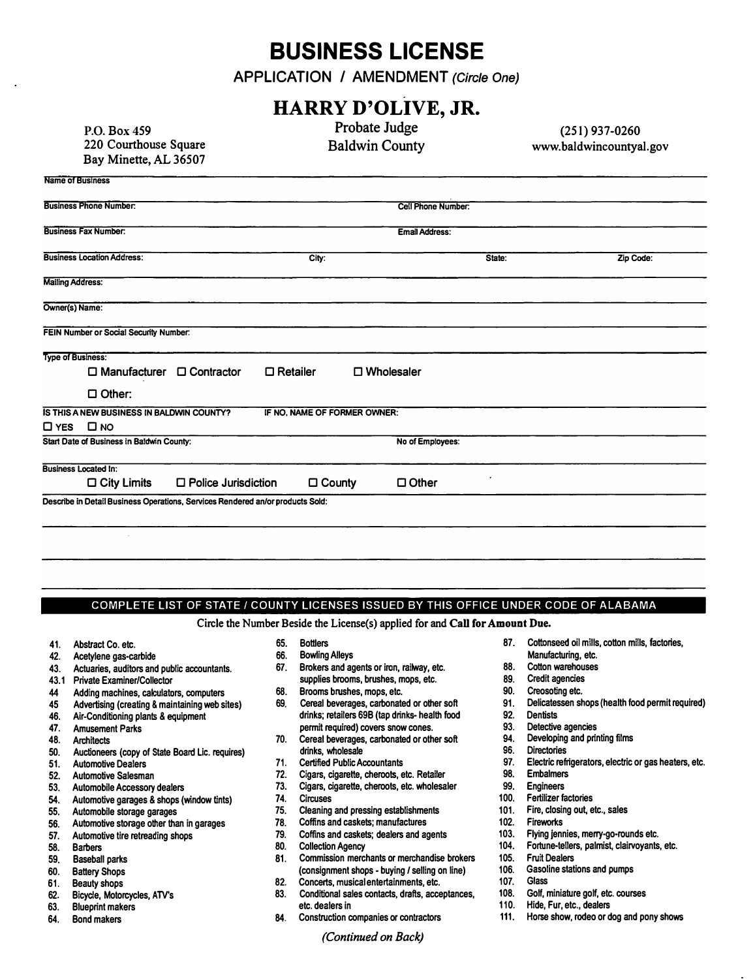## **BUSINESS LICENSE**

**APPLICATION / AMENDMENT** *(Circle One)* 

## **P.O. Box 459 220 Courthouse Square Bay Minette, AL 36507 Name of Business Business Phone Number: Business Fax Number: Business Location Address: Mailing Address: Owner(s) Name: FEIN Number or Social Security Number: Type of Business:**  □ **Manufacturer** □ **Contractor** □ **Other: IS THIS A NEW BUSINESS IN BALDWIN COUNTY?**  □ **YES** □ **NO Start Date of Business in Baldwin County: Business Located In: HARRY D'OLIVE, JR. City:**  □ **Retailer Probate Judge Baldwin County Cell Phone Number: Email Address:**  □ **Wholesaler IF NO, NAME OF FORMER OWNER: No of Employees:**  □ **City Limits D Police Jurisdiction** □ **County** □ **Other Describe in Detail Business Operations, Services Rendered an/or products Sold: State: (251) 937-0260 www.baldwincountyal.gov Zip Code:**

## **COMPLETE LIST OF STATE/ COUNTY LICENSES ISSUED BY THIS OFFICE UNDER CODE OF ALABAMA**

**Circle the Number Beside the License(s) applied for and Call for Amount Due.** 

- 
- 
- **42. Acetylene gas-carbide** 66. **Bowling Alleys Manufacturing, etc.**
- 
- 
- 44 **Adding machines, calculators, computers** 68. **Brooms brushes, mops, etc. 90. Creosoting etc.**
- 
- 
- 
- **50. Auctioneers (copy of State Board Lie. requires) drinks, wholesale 96. Directories**
- 
- 
- 
- **54. Automotive garages & shops (window tints)** 74. **Circuses 100. Fertilizer factories**
- 
- **56. Automotive storage other than in garages 78. Coffins and caskets; manufactures 102. Fireworks**
- 
- 
- 
- 
- 
- 
- 
- 
- 
- **43. Actuaries, auditors and public accountants. 67. Brokers and agents or iron, railway, etc. 88. Cotton warehouses 43.1 Private Examiner/Collector supplies brooms, brushes, mops, etc. 89. Credit agencies**
	-
- **45 Advertising (creating & maintaining web sites) 69. Cereal beverages, carbonated or other soft 91. Delicatessen shops (health food permit required) 46. Air-Conditioning plants & equipment drinks; retailers 69B (tap drinks- health food 92. Dentists**
- Amusement Parks<br>Architects **193. Architects permit required**) covers snow cones. **193.** Detective agencies<br>Architects **94.** Developing and printing films **48. Architects 70. Cereal beverages, carbonated or other soft** 94. **Developing and printing films**
	-
	- **52. Automotive Salesman 72. Cigars, cigarette, cheroots, etc. Retailer 98. Embalmers**
- **53. Automobile Accessory dealers 73. Cigars, cigarette, cheroots, etc. wholesaler 99. Engineers**
	-
- **55. Automobile storage garages 75. Cleaning and pressing establishments 101. Fire, closing out etc., sales**
	-
- **57.** Automotive tire retreading shops **79. 201. Coffins and caskets; dealers and agents** 103. **For a state of the state of the state of the state of the state of the state of the state of the state of the state of the** 
	-
- **59. Baseball parks 81. Commission merchants or merchandise brokers 105. Fru� Dealers 60. Battery Shops (consignment shops - buying/ selling on line) 106. Gasoline stations and pumps**
- **61. Beauty shops 82. Concerts, musical entertainments, etc. 107. Glass**
- **62. Conditional sales contacts, drafts, acceptances, 108. etc. dealers in 63. Blueprint makers etc. dealers in 110. Hide, Fur, etc., dealers**
	- - *(Continued on Back)*
- **41. Abstract Co. etc.** 65. **Bottlers 87. Cottonseed oil mills, cotton mills, factories,**
	-
	-
	-
	-
	-
	-
	-
	-
- **51. Automotive Dealers 71. Certified Public Accountants 97. Electric refrigerators, electric or gas heaters, etc.**
	-
	-
	-
	-
	-
	-
- **58. Barbers 80. Collection Agency 104. Fortune-tellers, palmist, clairvoyants, etc.**
	-
	-
	-
	-
	-
- 64. **Bond makers 84. Construction companies or contractors 111. Horse show, rodeo or dog and pony shows**